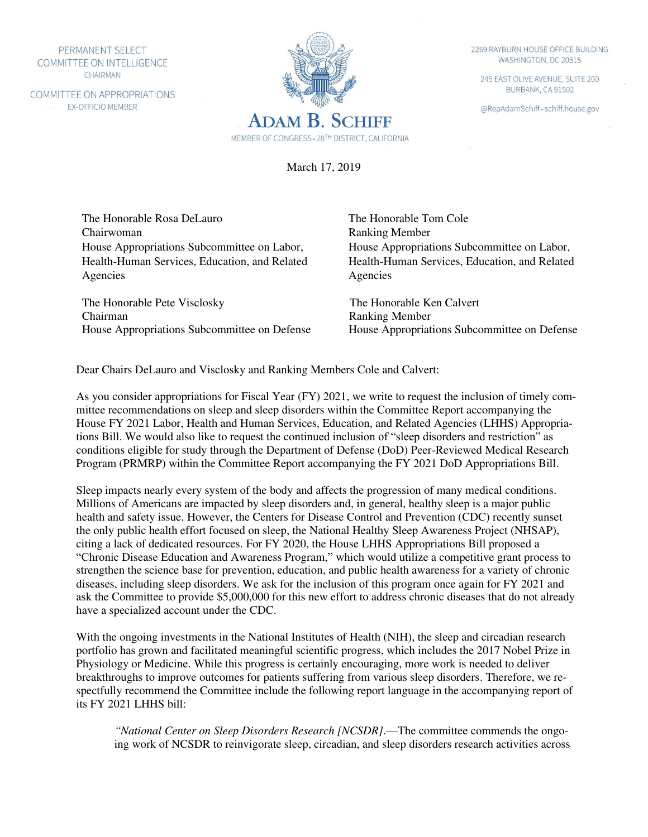PERMANENT SELECT COMMITTEE ON INTELLIGENCE CHAIRMAN

COMMITTEE ON APPROPRIATIONS EX-OFFICIO MEMBER



2269 RAYBURN HOUSE OFFICE BUILDING WASHINGTON, DC 20515

245 EAST OLIVE AVENUE, SUITE 200 BURBANK, CA 91502

@RepAdamSchiff · schiff.house.gov

March 17, 2019

The Honorable Rosa DeLauro The Honorable Tom Cole Chairwoman Ranking Member House Appropriations Subcommittee on Labor, Health-Human Services, Education, and Related Agencies

 The Honorable Pete Visclosky The Honorable Ken Calvert Chairman Ranking Member

House Appropriations Subcommittee on Labor, Health-Human Services, Education, and Related Agencies

House Appropriations Subcommittee on Defense House Appropriations Subcommittee on Defense

Dear Chairs DeLauro and Visclosky and Ranking Members Cole and Calvert:

As you consider appropriations for Fiscal Year (FY) 2021, we write to request the inclusion of timely committee recommendations on sleep and sleep disorders within the Committee Report accompanying the House FY 2021 Labor, Health and Human Services, Education, and Related Agencies (LHHS) Appropriations Bill. We would also like to request the continued inclusion of "sleep disorders and restriction" as conditions eligible for study through the Department of Defense (DoD) Peer-Reviewed Medical Research Program (PRMRP) within the Committee Report accompanying the FY 2021 DoD Appropriations Bill.

Sleep impacts nearly every system of the body and affects the progression of many medical conditions. Millions of Americans are impacted by sleep disorders and, in general, healthy sleep is a major public health and safety issue. However, the Centers for Disease Control and Prevention (CDC) recently sunset the only public health effort focused on sleep, the National Healthy Sleep Awareness Project (NHSAP), citing a lack of dedicated resources. For FY 2020, the House LHHS Appropriations Bill proposed a "Chronic Disease Education and Awareness Program," which would utilize a competitive grant process to strengthen the science base for prevention, education, and public health awareness for a variety of chronic diseases, including sleep disorders. We ask for the inclusion of this program once again for FY 2021 and ask the Committee to provide \$5,000,000 for this new effort to address chronic diseases that do not already have a specialized account under the CDC.

With the ongoing investments in the National Institutes of Health (NIH), the sleep and circadian research portfolio has grown and facilitated meaningful scientific progress, which includes the 2017 Nobel Prize in Physiology or Medicine. While this progress is certainly encouraging, more work is needed to deliver breakthroughs to improve outcomes for patients suffering from various sleep disorders. Therefore, we respectfully recommend the Committee include the following report language in the accompanying report of its FY 2021 LHHS bill:

*"National Center on Sleep Disorders Research [NCSDR]*.—The committee commends the ongoing work of NCSDR to reinvigorate sleep, circadian, and sleep disorders research activities across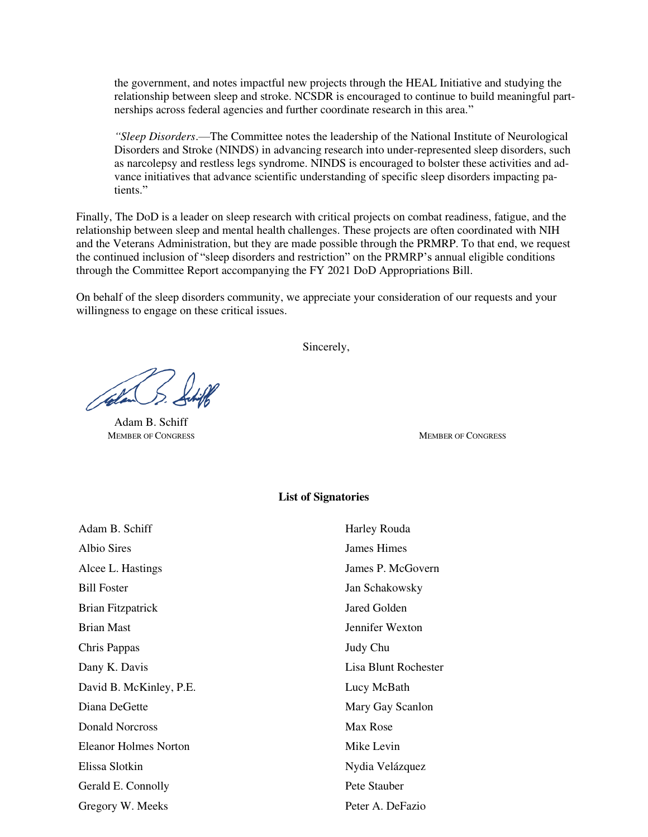the government, and notes impactful new projects through the HEAL Initiative and studying the relationship between sleep and stroke. NCSDR is encouraged to continue to build meaningful partnerships across federal agencies and further coordinate research in this area."

*"Sleep Disorders*.—The Committee notes the leadership of the National Institute of Neurological Disorders and Stroke (NINDS) in advancing research into under-represented sleep disorders, such as narcolepsy and restless legs syndrome. NINDS is encouraged to bolster these activities and advance initiatives that advance scientific understanding of specific sleep disorders impacting patients."

Finally, The DoD is a leader on sleep research with critical projects on combat readiness, fatigue, and the relationship between sleep and mental health challenges. These projects are often coordinated with NIH and the Veterans Administration, but they are made possible through the PRMRP. To that end, we request the continued inclusion of "sleep disorders and restriction" on the PRMRP's annual eligible conditions through the Committee Report accompanying the FY 2021 DoD Appropriations Bill.

On behalf of the sleep disorders community, we appreciate your consideration of our requests and your willingness to engage on these critical issues.

Sincerely,

helm (5.

Adam B. Schiff MEMBER OF CONGRESS **MEMBER OF CONGRESS** 

## **List of Signatories**

| Adam B. Schiff          | Harley Rouda         |
|-------------------------|----------------------|
| Albio Sires             | James Himes          |
| Alcee L. Hastings       | James P. McGovern    |
| <b>Bill Foster</b>      | Jan Schakowsky       |
| Brian Fitzpatrick       | Jared Golden         |
| <b>Brian Mast</b>       | Jennifer Wexton      |
| Chris Pappas            | Judy Chu             |
| Dany K. Davis           | Lisa Blunt Rochester |
| David B. McKinley, P.E. | Lucy McBath          |
| Diana DeGette           | Mary Gay Scanlon     |
| Donald Norcross         | Max Rose             |
| Eleanor Holmes Norton   | Mike Levin           |
| Elissa Slotkin          | Nydia Velázquez      |
| Gerald E. Connolly      | Pete Stauber         |
| Gregory W. Meeks        | Peter A. DeFazio     |